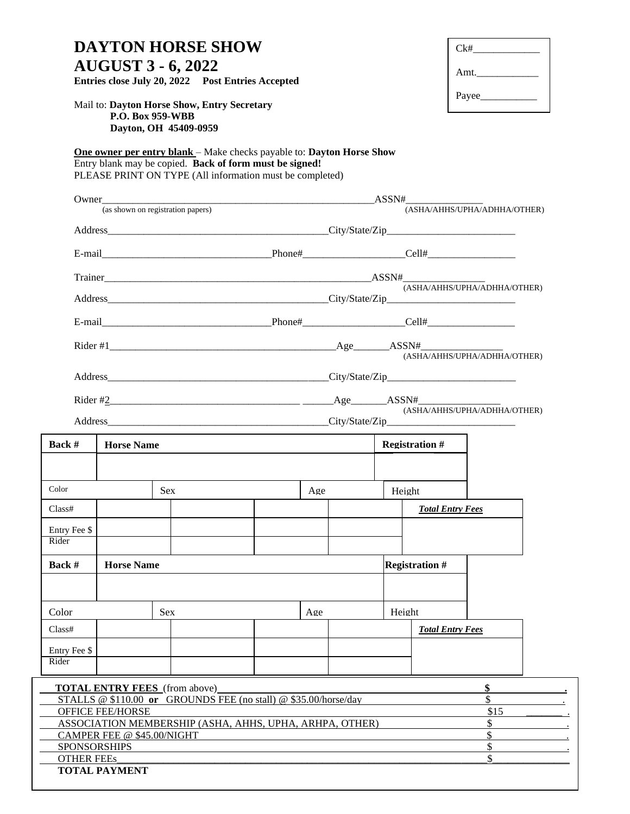| <b>DAYTON HORSE SHOW</b><br><b>AUGUST 3 - 6, 2022</b><br>Entries close July 20, 2022 Post Entries Accepted<br>Mail to: Dayton Horse Show, Entry Secretary<br>P.O. Box 959-WBB<br>Dayton, OH 45409-0959 |                            |                                      |                                                                                                                                                                                                     |                              |                              |                       |                         | Ck#                          |  |  |
|--------------------------------------------------------------------------------------------------------------------------------------------------------------------------------------------------------|----------------------------|--------------------------------------|-----------------------------------------------------------------------------------------------------------------------------------------------------------------------------------------------------|------------------------------|------------------------------|-----------------------|-------------------------|------------------------------|--|--|
|                                                                                                                                                                                                        |                            |                                      |                                                                                                                                                                                                     |                              |                              |                       |                         | Payee___________             |  |  |
|                                                                                                                                                                                                        |                            |                                      | <b>One owner per entry blank</b> – Make checks payable to: Dayton Horse Show<br>Entry blank may be copied. Back of form must be signed!<br>PLEASE PRINT ON TYPE (All information must be completed) |                              |                              |                       |                         |                              |  |  |
| (as shown on registration papers)                                                                                                                                                                      |                            |                                      |                                                                                                                                                                                                     |                              | (ASHA/AHHS/UPHA/ADHHA/OTHER) |                       |                         |                              |  |  |
|                                                                                                                                                                                                        |                            |                                      |                                                                                                                                                                                                     |                              |                              |                       |                         |                              |  |  |
|                                                                                                                                                                                                        |                            |                                      |                                                                                                                                                                                                     |                              |                              |                       |                         |                              |  |  |
|                                                                                                                                                                                                        |                            |                                      |                                                                                                                                                                                                     | (ASHA/AHHS/UPHA/ADHHA/OTHER) |                              |                       |                         |                              |  |  |
|                                                                                                                                                                                                        |                            |                                      |                                                                                                                                                                                                     |                              |                              |                       |                         |                              |  |  |
|                                                                                                                                                                                                        |                            |                                      |                                                                                                                                                                                                     |                              |                              |                       |                         | (ASHA/AHHS/UPHA/ADHHA/OTHER) |  |  |
|                                                                                                                                                                                                        |                            |                                      |                                                                                                                                                                                                     |                              |                              |                       |                         |                              |  |  |
|                                                                                                                                                                                                        |                            |                                      |                                                                                                                                                                                                     |                              |                              |                       |                         | (ASHA/AHHS/UPHA/ADHHA/OTHER) |  |  |
| <b>Back</b> $#$                                                                                                                                                                                        | <b>Horse Name</b>          |                                      |                                                                                                                                                                                                     |                              |                              | <b>Registration #</b> |                         |                              |  |  |
| Color                                                                                                                                                                                                  |                            | <b>Sex</b>                           |                                                                                                                                                                                                     | Age                          |                              | Height                |                         |                              |  |  |
| Class#                                                                                                                                                                                                 |                            |                                      |                                                                                                                                                                                                     |                              |                              |                       | <b>Total Entry Fees</b> |                              |  |  |
| Entry Fee \$<br>Rider                                                                                                                                                                                  |                            |                                      |                                                                                                                                                                                                     |                              |                              |                       |                         |                              |  |  |
| <b>Horse Name</b><br>Back #                                                                                                                                                                            |                            |                                      |                                                                                                                                                                                                     | <b>Registration #</b>        |                              |                       |                         |                              |  |  |
|                                                                                                                                                                                                        |                            |                                      |                                                                                                                                                                                                     |                              |                              |                       |                         |                              |  |  |
| Color                                                                                                                                                                                                  |                            | <b>Sex</b>                           |                                                                                                                                                                                                     |                              | Age                          |                       | Height                  |                              |  |  |
| Class#                                                                                                                                                                                                 |                            |                                      |                                                                                                                                                                                                     |                              |                              |                       |                         | <b>Total Entry Fees</b>      |  |  |
| Entry Fee \$<br>Rider                                                                                                                                                                                  |                            |                                      |                                                                                                                                                                                                     |                              |                              |                       |                         |                              |  |  |
|                                                                                                                                                                                                        |                            |                                      |                                                                                                                                                                                                     |                              |                              |                       |                         |                              |  |  |
|                                                                                                                                                                                                        | <b>OFFICE FEE/HORSE</b>    | <b>TOTAL ENTRY FEES</b> (from above) | STALLS @ \$110.00 or GROUNDS FEE (no stall) @ \$35.00/horse/day                                                                                                                                     |                              |                              |                       |                         | \$<br>\$<br>\$15             |  |  |
|                                                                                                                                                                                                        | CAMPER FEE @ \$45.00/NIGHT |                                      | ASSOCIATION MEMBERSHIP (ASHA, AHHS, UPHA, ARHPA, OTHER)                                                                                                                                             |                              |                              |                       |                         | \$<br>\$                     |  |  |
| <b>SPONSORSHIPS</b><br><b>OTHER FEES</b>                                                                                                                                                               |                            |                                      |                                                                                                                                                                                                     |                              |                              |                       |                         | \$<br>\$                     |  |  |
|                                                                                                                                                                                                        | <b>TOTAL PAYMENT</b>       |                                      |                                                                                                                                                                                                     |                              |                              |                       |                         |                              |  |  |